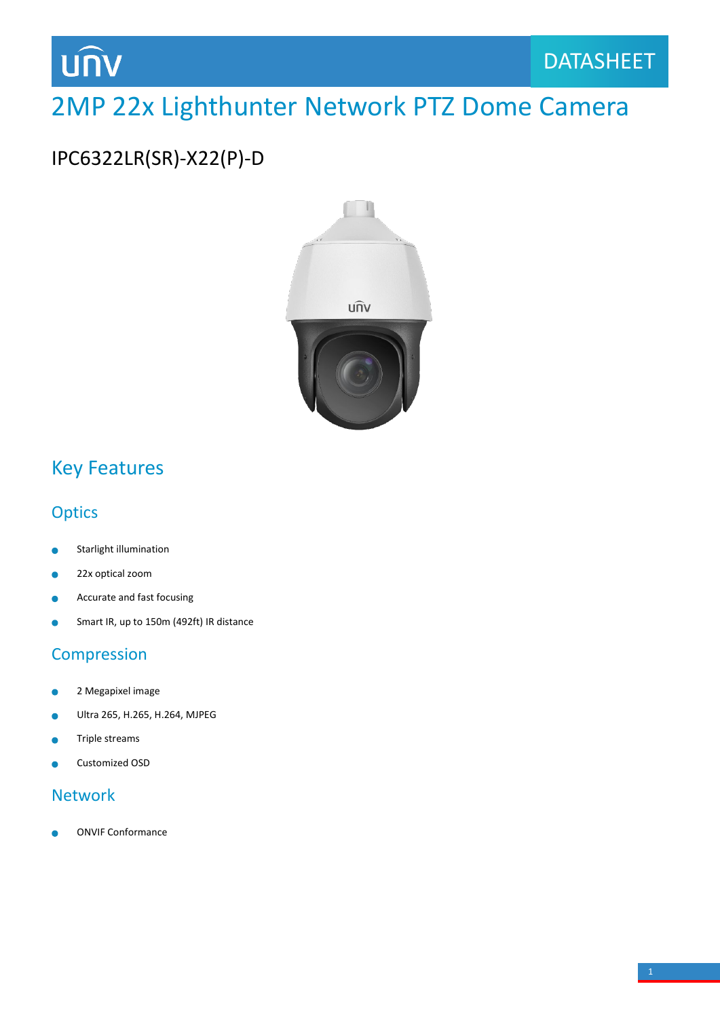

## 2MP 22x Lighthunter Network PTZ Dome Camera

## IPC6322LR(SR)-X22(P)-D



## Key Features

### **Optics**

- Starlight illumination Ċ
- 22x optical zoom
- Accurate and fast focusing  $\bullet$
- Smart IR, up to 150m (492ft) IR distance  $\bullet$

### Compression

- 2 Megapixel image  $\bullet$
- Ultra 265, H.265, H.264, MJPEG Ċ
- Triple streams ò
- Customized OSD

#### Network

ONVIF Conformance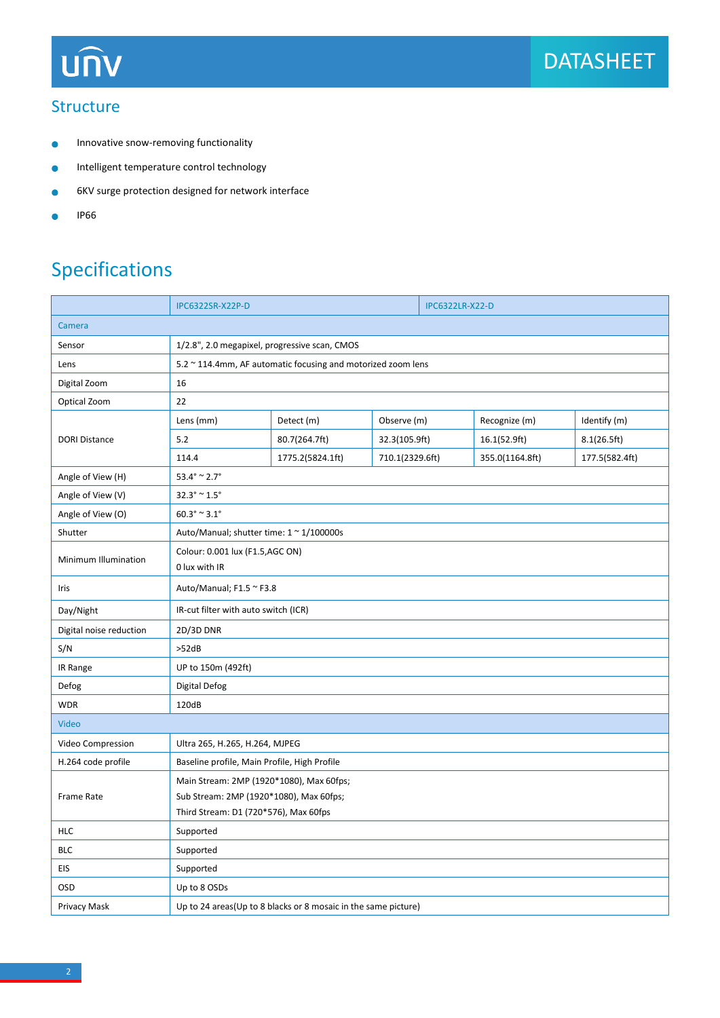

#### **Structure**

- Innovative snow-removing functionality  $\bullet$
- Intelligent temperature control technology  $\bullet$
- 6KV surge protection designed for network interface  $\bullet$
- IP66  $\bullet$

## Specifications

|                         | IPC6322SR-X22P-D                                             |                                                                | <b>IPC6322LR-X22-D</b> |  |                 |                |  |
|-------------------------|--------------------------------------------------------------|----------------------------------------------------------------|------------------------|--|-----------------|----------------|--|
| Camera                  |                                                              |                                                                |                        |  |                 |                |  |
| Sensor                  | 1/2.8", 2.0 megapixel, progressive scan, CMOS                |                                                                |                        |  |                 |                |  |
| Lens                    | 5.2 ~ 114.4mm, AF automatic focusing and motorized zoom lens |                                                                |                        |  |                 |                |  |
| Digital Zoom            | 16                                                           |                                                                |                        |  |                 |                |  |
| Optical Zoom            | 22                                                           |                                                                |                        |  |                 |                |  |
| <b>DORI Distance</b>    | Lens (mm)                                                    | Detect (m)                                                     | Observe (m)            |  | Recognize (m)   | Identify (m)   |  |
|                         | 5.2                                                          | 80.7(264.7ft)                                                  | 32.3(105.9ft)          |  | 16.1(52.9ft)    | 8.1(26.5ft)    |  |
|                         | 114.4                                                        | 1775.2(5824.1ft)                                               | 710.1(2329.6ft)        |  | 355.0(1164.8ft) | 177.5(582.4ft) |  |
| Angle of View (H)       | $53.4^{\circ} \approx 2.7^{\circ}$                           |                                                                |                        |  |                 |                |  |
| Angle of View (V)       | $32.3^{\circ} \, \verb ^  1.5^{\circ}$                       |                                                                |                        |  |                 |                |  |
| Angle of View (O)       | $60.3^{\circ} \approx 3.1^{\circ}$                           |                                                                |                        |  |                 |                |  |
| Shutter                 | Auto/Manual; shutter time: 1 ~ 1/100000s                     |                                                                |                        |  |                 |                |  |
| Minimum Illumination    | Colour: 0.001 lux (F1.5,AGC ON)<br>0 lux with IR             |                                                                |                        |  |                 |                |  |
| Iris                    | Auto/Manual; F1.5 ~ F3.8                                     |                                                                |                        |  |                 |                |  |
| Day/Night               | IR-cut filter with auto switch (ICR)                         |                                                                |                        |  |                 |                |  |
| Digital noise reduction | 2D/3D DNR                                                    |                                                                |                        |  |                 |                |  |
| S/N                     | >52dB                                                        |                                                                |                        |  |                 |                |  |
| IR Range                | UP to 150m (492ft)                                           |                                                                |                        |  |                 |                |  |
| Defog                   | Digital Defog                                                |                                                                |                        |  |                 |                |  |
| <b>WDR</b>              | 120dB                                                        |                                                                |                        |  |                 |                |  |
| <b>Video</b>            |                                                              |                                                                |                        |  |                 |                |  |
| Video Compression       | Ultra 265, H.265, H.264, MJPEG                               |                                                                |                        |  |                 |                |  |
| H.264 code profile      | Baseline profile, Main Profile, High Profile                 |                                                                |                        |  |                 |                |  |
| Frame Rate              | Main Stream: 2MP (1920*1080), Max 60fps;                     |                                                                |                        |  |                 |                |  |
|                         | Sub Stream: 2MP (1920*1080), Max 60fps;                      |                                                                |                        |  |                 |                |  |
|                         | Third Stream: D1 (720*576), Max 60fps                        |                                                                |                        |  |                 |                |  |
| <b>HLC</b>              | Supported                                                    |                                                                |                        |  |                 |                |  |
| <b>BLC</b>              | Supported                                                    |                                                                |                        |  |                 |                |  |
| <b>EIS</b>              | Supported                                                    |                                                                |                        |  |                 |                |  |
| OSD                     | Up to 8 OSDs                                                 |                                                                |                        |  |                 |                |  |
| Privacy Mask            |                                                              | Up to 24 areas(Up to 8 blacks or 8 mosaic in the same picture) |                        |  |                 |                |  |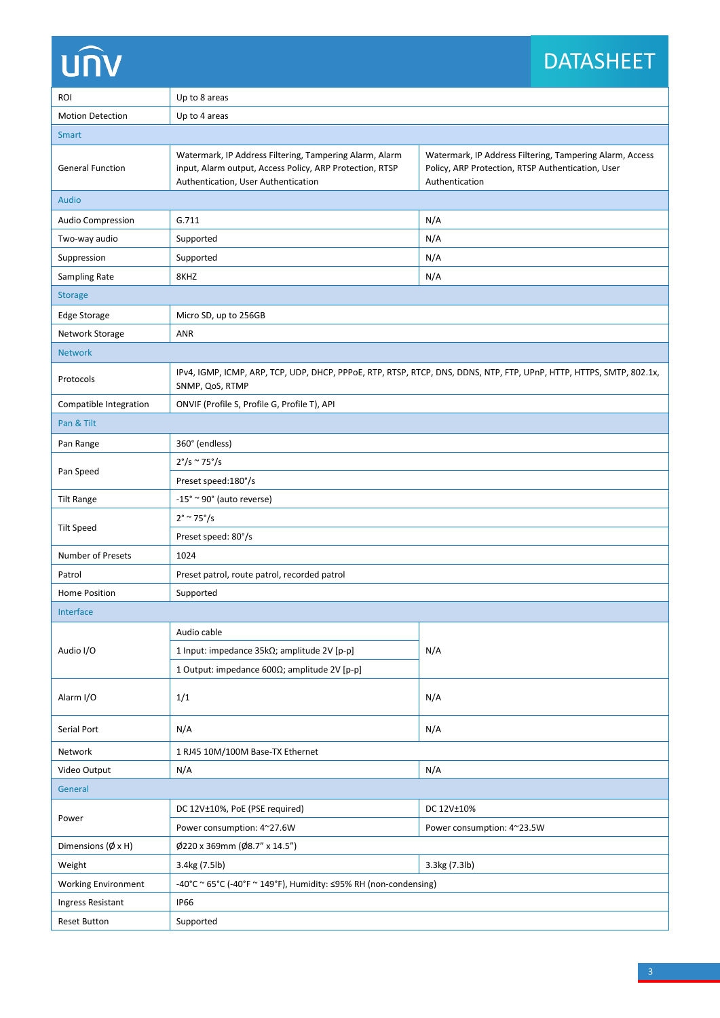# **UNV**

## DATASHEET

| ROI                        | Up to 8 areas                                                                                                                                              |                                                                                                                                 |  |  |  |  |
|----------------------------|------------------------------------------------------------------------------------------------------------------------------------------------------------|---------------------------------------------------------------------------------------------------------------------------------|--|--|--|--|
| <b>Motion Detection</b>    | Up to 4 areas                                                                                                                                              |                                                                                                                                 |  |  |  |  |
| Smart                      |                                                                                                                                                            |                                                                                                                                 |  |  |  |  |
| <b>General Function</b>    | Watermark, IP Address Filtering, Tampering Alarm, Alarm<br>input, Alarm output, Access Policy, ARP Protection, RTSP<br>Authentication, User Authentication | Watermark, IP Address Filtering, Tampering Alarm, Access<br>Policy, ARP Protection, RTSP Authentication, User<br>Authentication |  |  |  |  |
| <b>Audio</b>               |                                                                                                                                                            |                                                                                                                                 |  |  |  |  |
| <b>Audio Compression</b>   | G.711                                                                                                                                                      | N/A                                                                                                                             |  |  |  |  |
| Two-way audio              | Supported                                                                                                                                                  | N/A                                                                                                                             |  |  |  |  |
| Suppression                | Supported                                                                                                                                                  | N/A                                                                                                                             |  |  |  |  |
| Sampling Rate              | 8KHZ                                                                                                                                                       | N/A                                                                                                                             |  |  |  |  |
| <b>Storage</b>             |                                                                                                                                                            |                                                                                                                                 |  |  |  |  |
| <b>Edge Storage</b>        | Micro SD, up to 256GB                                                                                                                                      |                                                                                                                                 |  |  |  |  |
| Network Storage            | <b>ANR</b>                                                                                                                                                 |                                                                                                                                 |  |  |  |  |
| <b>Network</b>             |                                                                                                                                                            |                                                                                                                                 |  |  |  |  |
| Protocols                  | IPv4, IGMP, ICMP, ARP, TCP, UDP, DHCP, PPPoE, RTP, RTSP, RTCP, DNS, DDNS, NTP, FTP, UPnP, HTTP, HTTPS, SMTP, 802.1x,<br>SNMP, QoS, RTMP                    |                                                                                                                                 |  |  |  |  |
| Compatible Integration     | ONVIF (Profile S, Profile G, Profile T), API                                                                                                               |                                                                                                                                 |  |  |  |  |
| Pan & Tilt                 |                                                                                                                                                            |                                                                                                                                 |  |  |  |  |
| Pan Range                  | 360° (endless)                                                                                                                                             |                                                                                                                                 |  |  |  |  |
| Pan Speed                  | $2^{\circ}/s \approx 75^{\circ}/s$                                                                                                                         |                                                                                                                                 |  |  |  |  |
|                            | Preset speed: 180°/s                                                                                                                                       |                                                                                                                                 |  |  |  |  |
| <b>Tilt Range</b>          | $-15^\circ \approx 90^\circ$ (auto reverse)                                                                                                                |                                                                                                                                 |  |  |  |  |
|                            | $2^{\circ}$ ~ 75 $^{\circ}/s$                                                                                                                              |                                                                                                                                 |  |  |  |  |
| <b>Tilt Speed</b>          | Preset speed: 80°/s                                                                                                                                        |                                                                                                                                 |  |  |  |  |
| Number of Presets          | 1024                                                                                                                                                       |                                                                                                                                 |  |  |  |  |
| Patrol                     | Preset patrol, route patrol, recorded patrol                                                                                                               |                                                                                                                                 |  |  |  |  |
| Home Position              | Supported                                                                                                                                                  |                                                                                                                                 |  |  |  |  |
| Interface                  |                                                                                                                                                            |                                                                                                                                 |  |  |  |  |
| Audio I/O                  | Audio cable                                                                                                                                                | N/A                                                                                                                             |  |  |  |  |
|                            | 1 Input: impedance 35kΩ; amplitude 2V [p-p]                                                                                                                |                                                                                                                                 |  |  |  |  |
|                            | 1 Output: impedance 600Ω; amplitude 2V [p-p]                                                                                                               |                                                                                                                                 |  |  |  |  |
| Alarm I/O                  | 1/1                                                                                                                                                        | N/A                                                                                                                             |  |  |  |  |
| Serial Port                | N/A                                                                                                                                                        | N/A                                                                                                                             |  |  |  |  |
| Network                    | 1 RJ45 10M/100M Base-TX Ethernet                                                                                                                           |                                                                                                                                 |  |  |  |  |
| Video Output               | N/A                                                                                                                                                        | N/A                                                                                                                             |  |  |  |  |
| General                    |                                                                                                                                                            |                                                                                                                                 |  |  |  |  |
| Power                      | DC 12V±10%, PoE (PSE required)                                                                                                                             | DC 12V±10%                                                                                                                      |  |  |  |  |
|                            | Power consumption: 4~27.6W<br>Power consumption: 4~23.5W                                                                                                   |                                                                                                                                 |  |  |  |  |
| Dimensions (Ø x H)         | Ø220 x 369mm (Ø8.7" x 14.5")                                                                                                                               |                                                                                                                                 |  |  |  |  |
| Weight                     | 3.4kg (7.5lb)<br>3.3kg (7.3lb)                                                                                                                             |                                                                                                                                 |  |  |  |  |
| <b>Working Environment</b> | -40°C ~ 65°C (-40°F ~ 149°F), Humidity: $\leq$ 95% RH (non-condensing)                                                                                     |                                                                                                                                 |  |  |  |  |
| Ingress Resistant          | <b>IP66</b>                                                                                                                                                |                                                                                                                                 |  |  |  |  |
| <b>Reset Button</b>        | Supported                                                                                                                                                  |                                                                                                                                 |  |  |  |  |